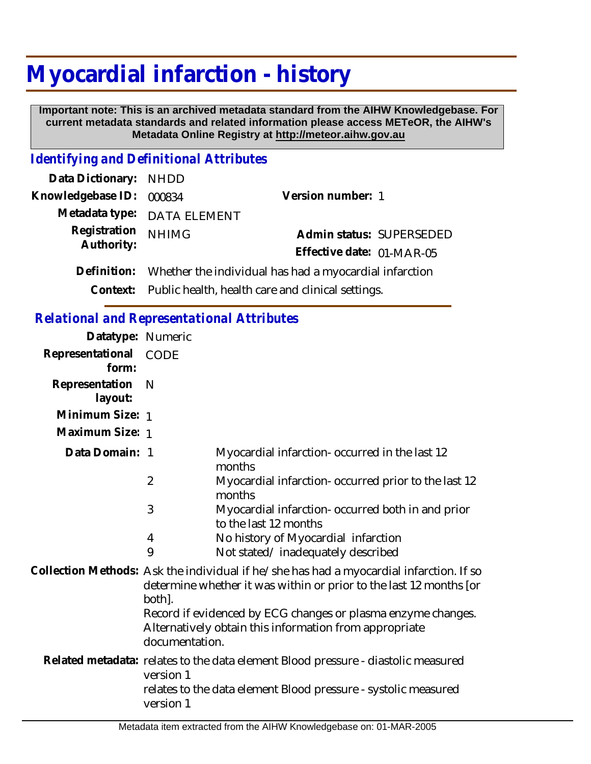# **Myocardial infarction - history**

 **Important note: This is an archived metadata standard from the AIHW Knowledgebase. For current metadata standards and related information please access METeOR, the AIHW's Metadata Online Registry at http://meteor.aihw.gov.au**

## *Identifying and Definitional Attributes*

| Data Dictionary: NHDD    |                                                                    |                           |  |
|--------------------------|--------------------------------------------------------------------|---------------------------|--|
| Knowledgebase ID: 000834 |                                                                    | Version number: 1         |  |
|                          | Metadata type: DATA ELEMENT                                        |                           |  |
| Registration             | <b>NHIMG</b>                                                       | Admin status: SUPERSEDED  |  |
| Authority:               |                                                                    | Effective date: 01-MAR-05 |  |
|                          | Definition: Whether the individual has had a myocardial infarction |                           |  |
|                          | Context: Public health, health care and clinical settings.         |                           |  |

## *Relational and Representational Attributes*

| Datatype: Numeric         |                                                                                                                                                                         |                                                                                                                                                     |  |
|---------------------------|-------------------------------------------------------------------------------------------------------------------------------------------------------------------------|-----------------------------------------------------------------------------------------------------------------------------------------------------|--|
| Representational<br>form: | <b>CODE</b>                                                                                                                                                             |                                                                                                                                                     |  |
| Representation<br>layout: | $\mathsf{N}$                                                                                                                                                            |                                                                                                                                                     |  |
| Minimum Size: 1           |                                                                                                                                                                         |                                                                                                                                                     |  |
| Maximum Size: 1           |                                                                                                                                                                         |                                                                                                                                                     |  |
| Data Domain: 1            |                                                                                                                                                                         | Myocardial infarction-occurred in the last 12<br>months                                                                                             |  |
|                           | $\overline{2}$                                                                                                                                                          | Myocardial infarction-occurred prior to the last 12<br>months                                                                                       |  |
|                           | 3                                                                                                                                                                       | Myocardial infarction- occurred both in and prior<br>to the last 12 months                                                                          |  |
|                           | 4                                                                                                                                                                       | No history of Myocardial infarction                                                                                                                 |  |
|                           | 9                                                                                                                                                                       | Not stated/inadequately described                                                                                                                   |  |
|                           | Collection Methods: Ask the individual if he/she has had a myocardial infarction. If so<br>determine whether it was within or prior to the last 12 months [or<br>both]. |                                                                                                                                                     |  |
|                           | documentation.                                                                                                                                                          | Record if evidenced by ECG changes or plasma enzyme changes.<br>Alternatively obtain this information from appropriate                              |  |
|                           | version 1                                                                                                                                                               | Related metadata: relates to the data element Blood pressure - diastolic measured<br>relates to the data element Blood pressure - systolic measured |  |
|                           | version 1                                                                                                                                                               |                                                                                                                                                     |  |